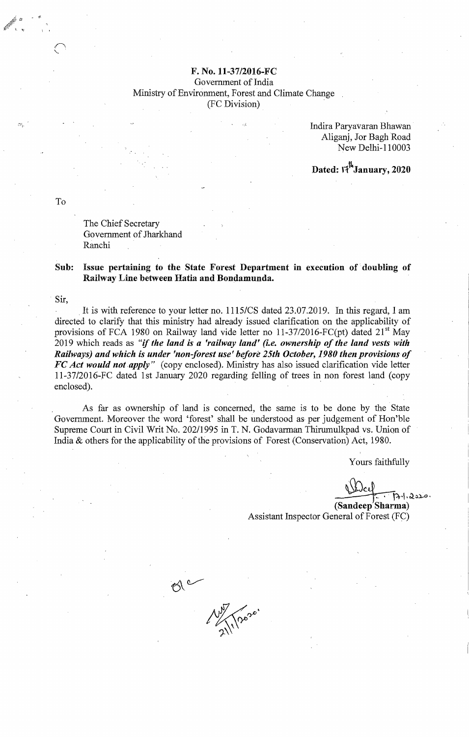# F. No. 11-37/2016-FC Government of India Ministry of Environment, Forest and Climate Change (FC Division)

Indira Paryavaran Bhawan Aliganj, Jor Bagh Road New Delhi~110003

Dated:  $H^{\sharp\sharp}$ January, 2020

To

The Chief Secretary Government of Jharkhand Ranchi

Sub: Issue pertaining to the State Forest Department in execution of doubling of Railway Line between Hatia and Bondamunda.

Sir,

It is with reference to your letter no. 1115/CS dated 23.07.2019. In this regard, I am directed to clarify that this ministry had already issued clarification on the applicability of provisions of FCA 1980 on Railway land vide letter no 11-37/2016-FC(pt) dated  $21<sup>st</sup>$  May 2019 which reads as *"if the land is a 'railway land' (i.e. ownership of the land vests with Railways) and which is under 'non-forest use' before 25th October, 1980 then provisions of*  FC Act would not apply" (copy enclosed). Ministry has also issued clarification vide letter 11~37/2016-FC dated 1st January 2020 regarding felling of trees in non forest land (copy enclosed).

As far as ownership of land is concerned, the same is to be done by the State Government. Moreover the word 'forest' shall be understood as per judgement of Hon'ble Supreme Court in Civil Writ No. 202/1995 in T. N. Godavarman Thirumulkpad vs. Union of India & others for the applicability of the provisions of Forest (Conservation) Act, 1980.

Yours faithfully

 $73.1.2020$ . (Sandeep Sharma)

Assistant Inspector General of Forest (FC)

or compression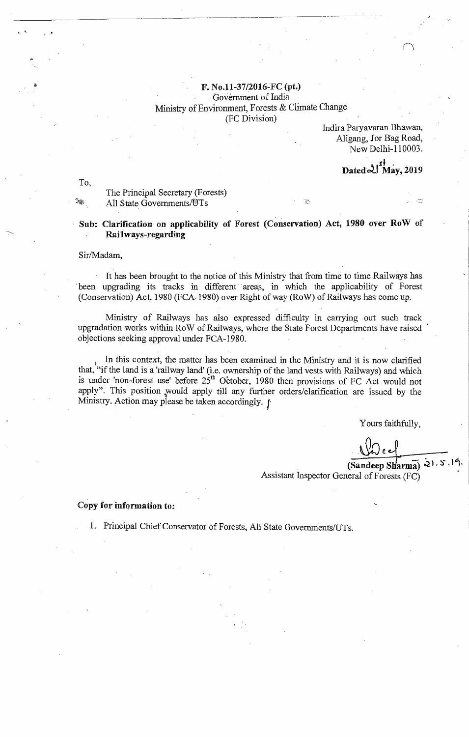### F. No.11-37/2016-FC (pt.) . Government of India Ministry of Environment, Forests & Climate Change (FC Division)

Indira Paryavaran Bhawan, Aligang, Jor Bag Road, New Delhi-110003.

Dated  $2\int_{\text{May, 2019}}^{5}$ 

 $e^{\alpha\phi(z)}$ 

To,

The Principal Secretary (Forests) All State Governments/UTs

 $~\cdot$  . The constraint of the constraint of the constraint of the constraint of the constraint of the constraint of the constraint of the constraint of the constraint of the constraint of the constraint of the constraint

## Sub: Clarification on applicability of Forest (Conservation) Act, 1980 over RoW of Railways-regarding

ģ.

#### Sir/Madam,

It has been brought to the notice of this Ministry that from time to time Railways has been upgrading its tracks in different areas, in which the applicability of Forest (Conservation) Act, 1980 (FCA-1980) over Right of way (RoW) of Railways has come up.

Ministry of Railways has also expressed difficulty in carrying out such track upgradation works within RoW of Railways, where the State Forest Departments have raised objections seeking approval under FCA-1980.

In this context, the matter has been examined in the Ministry and it is now clarified that, "if the land is a 'railway land' (i.e. ownership of the land vests with Railways) and which is under 'non-forest use' before  $25<sup>th</sup>$  October, 1980 then provisions of FC Act would not apply". This position would apply till any further orders/clarification are issued by the<br>Ministry Action may please be taken accordingly.  $\int$ Ministry. Action may please be taken accordingly. *r* 

Yours faithfully,

 $\frac{\sqrt{2}\cosh\left(\frac{1}{2}\right)}{\sinh\left(\frac{1}{2}\right)\sinh\left(\frac{1}{2}\right)}$ Assistant Inspector General of Forests (FC)

### Copy for information to:

1. Principal Chief Conservator of Forests, All State GovernmenfslUTs.